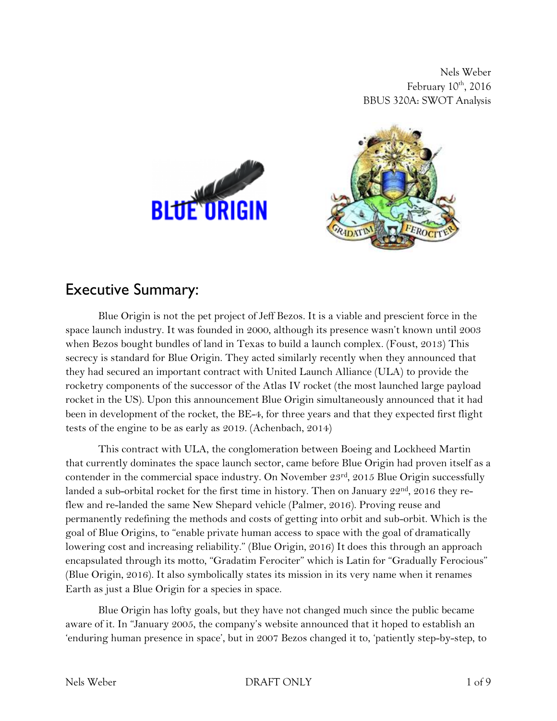Nels Weber February  $10^{\text{th}}$ , 2016 BBUS 320A: SWOT Analysis



#### Executive Summary:

Blue Origin is not the pet project of Jeff Bezos. It is a viable and prescient force in the space launch industry. It was founded in 2000, although its presence wasn't known until 2003 when Bezos bought bundles of land in Texas to build a launch complex. (Foust, 2013) This secrecy is standard for Blue Origin. They acted similarly recently when they announced that they had secured an important contract with United Launch Alliance (ULA) to provide the rocketry components of the successor of the Atlas IV rocket (the most launched large payload rocket in the US). Upon this announcement Blue Origin simultaneously announced that it had been in development of the rocket, the BE-4, for three years and that they expected first flight tests of the engine to be as early as 2019. (Achenbach, 2014)

This contract with ULA, the conglomeration between Boeing and Lockheed Martin that currently dominates the space launch sector, came before Blue Origin had proven itself as a contender in the commercial space industry. On November 23rd, 2015 Blue Origin successfully landed a sub-orbital rocket for the first time in history. Then on January 22<sup>nd</sup>, 2016 they reflew and re-landed the same New Shepard vehicle (Palmer, 2016). Proving reuse and permanently redefining the methods and costs of getting into orbit and sub-orbit. Which is the goal of Blue Origins, to "enable private human access to space with the goal of dramatically lowering cost and increasing reliability." (Blue Origin, 2016) It does this through an approach encapsulated through its motto, "Gradatim Ferociter" which is Latin for "Gradually Ferocious" (Blue Origin, 2016). It also symbolically states its mission in its very name when it renames Earth as just a Blue Origin for a species in space.

Blue Origin has lofty goals, but they have not changed much since the public became aware of it. In "January 2005, the company's website announced that it hoped to establish an 'enduring human presence in space', but in 2007 Bezos changed it to, 'patiently step-by-step, to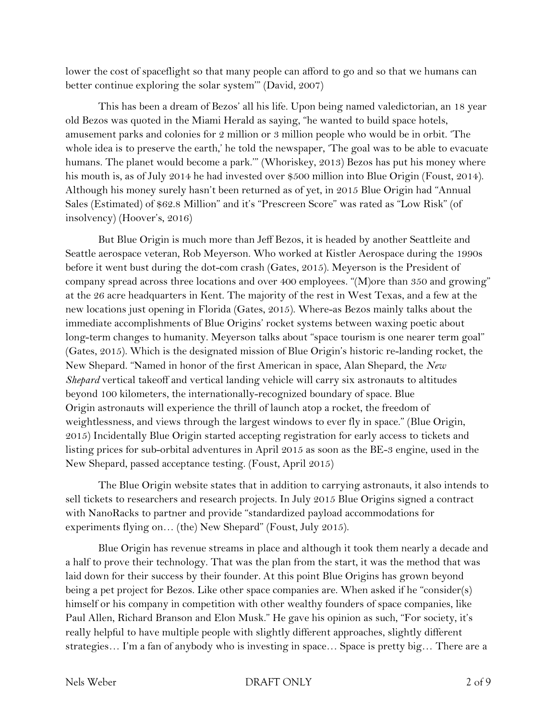lower the cost of spaceflight so that many people can afford to go and so that we humans can better continue exploring the solar system'" (David, 2007)

This has been a dream of Bezos' all his life. Upon being named valedictorian, an 18 year old Bezos was quoted in the Miami Herald as saying, "he wanted to build space hotels, amusement parks and colonies for 2 million or 3 million people who would be in orbit. 'The whole idea is to preserve the earth,' he told the newspaper, 'The goal was to be able to evacuate humans. The planet would become a park.'" (Whoriskey, 2013) Bezos has put his money where his mouth is, as of July 2014 he had invested over \$500 million into Blue Origin (Foust, 2014). Although his money surely hasn't been returned as of yet, in 2015 Blue Origin had "Annual Sales (Estimated) of \$62.8 Million" and it's "Prescreen Score" was rated as "Low Risk" (of insolvency) (Hoover's, 2016)

But Blue Origin is much more than Jeff Bezos, it is headed by another Seattleite and Seattle aerospace veteran, Rob Meyerson. Who worked at Kistler Aerospace during the 1990s before it went bust during the dot-com crash (Gates, 2015). Meyerson is the President of company spread across three locations and over 400 employees. "(M)ore than 350 and growing" at the 26 acre headquarters in Kent. The majority of the rest in West Texas, and a few at the new locations just opening in Florida (Gates, 2015). Where-as Bezos mainly talks about the immediate accomplishments of Blue Origins' rocket systems between waxing poetic about long-term changes to humanity. Meyerson talks about "space tourism is one nearer term goal" (Gates, 2015). Which is the designated mission of Blue Origin's historic re-landing rocket, the New Shepard. "Named in honor of the first American in space, Alan Shepard, the *New Shepard* vertical takeoff and vertical landing vehicle will carry six astronauts to altitudes beyond 100 kilometers, the internationally-recognized boundary of space. Blue Origin astronauts will experience the thrill of launch atop a rocket, the freedom of weightlessness, and views through the largest windows to ever fly in space." (Blue Origin, 2015) Incidentally Blue Origin started accepting registration for early access to tickets and listing prices for sub-orbital adventures in April 2015 as soon as the BE-3 engine, used in the New Shepard, passed acceptance testing. (Foust, April 2015)

The Blue Origin website states that in addition to carrying astronauts, it also intends to sell tickets to researchers and research projects. In July 2015 Blue Origins signed a contract with NanoRacks to partner and provide "standardized payload accommodations for experiments flying on… (the) New Shepard" (Foust, July 2015).

Blue Origin has revenue streams in place and although it took them nearly a decade and a half to prove their technology. That was the plan from the start, it was the method that was laid down for their success by their founder. At this point Blue Origins has grown beyond being a pet project for Bezos. Like other space companies are. When asked if he "consider(s) himself or his company in competition with other wealthy founders of space companies, like Paul Allen, Richard Branson and Elon Musk." He gave his opinion as such, "For society, it's really helpful to have multiple people with slightly different approaches, slightly different strategies… I'm a fan of anybody who is investing in space… Space is pretty big… There are a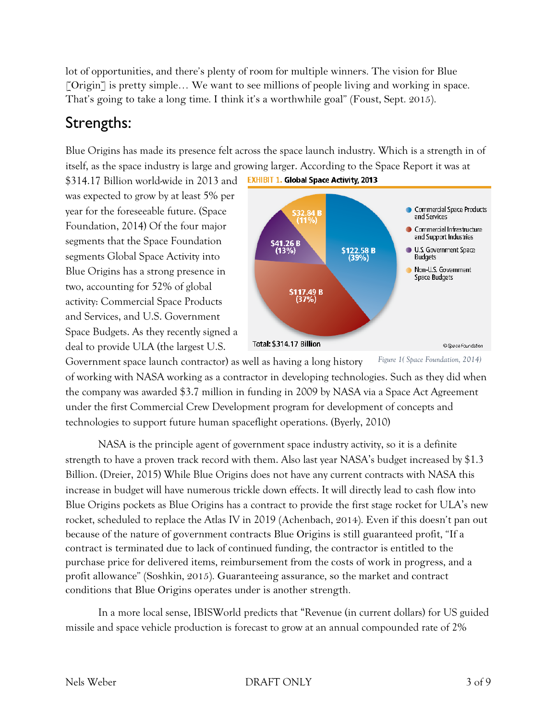lot of opportunities, and there's plenty of room for multiple winners. The vision for Blue [Origin] is pretty simple... We want to see millions of people living and working in space. That's going to take a long time. I think it's a worthwhile goal" (Foust, Sept. 2015).

## Strengths:

Blue Origins has made its presence felt across the space launch industry. Which is a strength in of itself, as the space industry is large and growing larger. According to the Space Report it was at

\$314.17 Billion world-wide in 2013 and was expected to grow by at least 5% per year for the foreseeable future. (Space Foundation, 2014) Of the four major segments that the Space Foundation segments Global Space Activity into Blue Origins has a strong presence in two, accounting for 52% of global activity: Commercial Space Products and Services, and U.S. Government Space Budgets. As they recently signed a deal to provide ULA (the largest U.S.



Government space launch contractor) as well as having a long history of working with NASA working as a contractor in developing technologies. Such as they did when the company was awarded \$3.7 million in funding in 2009 by NASA via a Space Act Agreement under the first Commercial Crew Development program for development of concepts and technologies to support future human spaceflight operations. (Byerly, 2010) *Figure 1( Space Foundation, 2014)*

NASA is the principle agent of government space industry activity, so it is a definite strength to have a proven track record with them. Also last year NASA's budget increased by \$1.3 Billion. (Dreier, 2015) While Blue Origins does not have any current contracts with NASA this increase in budget will have numerous trickle down effects. It will directly lead to cash flow into Blue Origins pockets as Blue Origins has a contract to provide the first stage rocket for ULA's new rocket, scheduled to replace the Atlas IV in 2019 (Achenbach, 2014). Even if this doesn't pan out because of the nature of government contracts Blue Origins is still guaranteed profit, "If a contract is terminated due to lack of continued funding, the contractor is entitled to the purchase price for delivered items, reimbursement from the costs of work in progress, and a profit allowance" (Soshkin, 2015). Guaranteeing assurance, so the market and contract conditions that Blue Origins operates under is another strength.

In a more local sense, IBISWorld predicts that "Revenue (in current dollars) for US guided missile and space vehicle production is forecast to grow at an annual compounded rate of 2%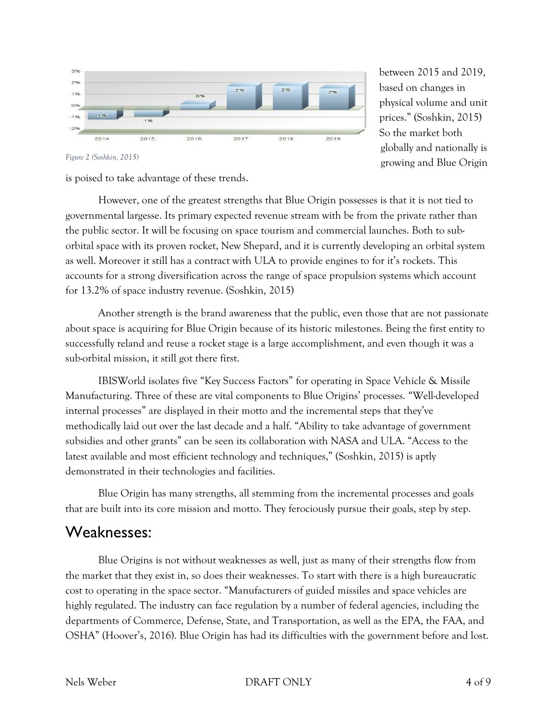

between 2015 and 2019, based on changes in physical volume and unit prices." (Soshkin, 2015) So the market both globally and nationally is growing and Blue Origin

*Figure 2 (Soshkin, 2015)*

is poised to take advantage of these trends.

However, one of the greatest strengths that Blue Origin possesses is that it is not tied to governmental largesse. Its primary expected revenue stream with be from the private rather than the public sector. It will be focusing on space tourism and commercial launches. Both to suborbital space with its proven rocket, New Shepard, and it is currently developing an orbital system as well. Moreover it still has a contract with ULA to provide engines to for it's rockets. This accounts for a strong diversification across the range of space propulsion systems which account for 13.2% of space industry revenue. (Soshkin, 2015)

Another strength is the brand awareness that the public, even those that are not passionate about space is acquiring for Blue Origin because of its historic milestones. Being the first entity to successfully reland and reuse a rocket stage is a large accomplishment, and even though it was a sub-orbital mission, it still got there first.

IBISWorld isolates five "Key Success Factors" for operating in Space Vehicle & Missile Manufacturing. Three of these are vital components to Blue Origins' processes. "Well-developed internal processes" are displayed in their motto and the incremental steps that they've methodically laid out over the last decade and a half. "Ability to take advantage of government subsidies and other grants" can be seen its collaboration with NASA and ULA. "Access to the latest available and most efficient technology and techniques," (Soshkin, 2015) is aptly demonstrated in their technologies and facilities.

Blue Origin has many strengths, all stemming from the incremental processes and goals that are built into its core mission and motto. They ferociously pursue their goals, step by step.

## Weaknesses:

Blue Origins is not without weaknesses as well, just as many of their strengths flow from the market that they exist in, so does their weaknesses. To start with there is a high bureaucratic cost to operating in the space sector. "Manufacturers of guided missiles and space vehicles are highly regulated. The industry can face regulation by a number of federal agencies, including the departments of Commerce, Defense, State, and Transportation, as well as the EPA, the FAA, and OSHA" (Hoover's, 2016). Blue Origin has had its difficulties with the government before and lost.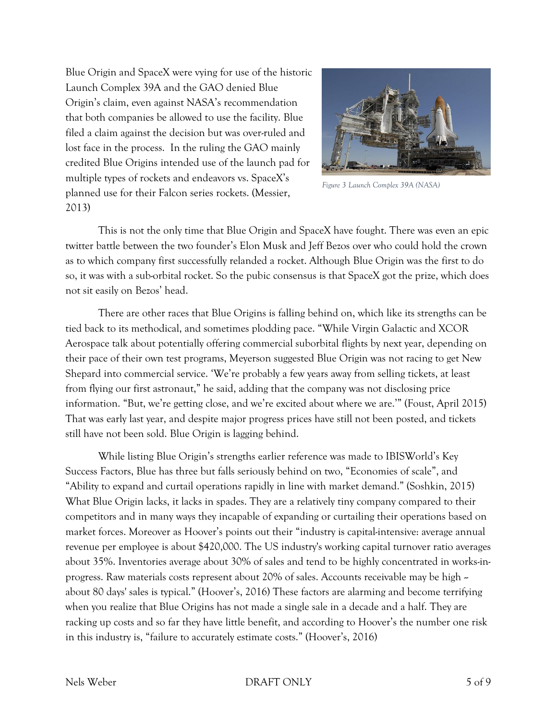Blue Origin and SpaceX were vying for use of the historic Launch Complex 39A and the GAO denied Blue Origin's claim, even against NASA's recommendation that both companies be allowed to use the facility. Blue filed a claim against the decision but was over-ruled and lost face in the process. In the ruling the GAO mainly credited Blue Origins intended use of the launch pad for multiple types of rockets and endeavors vs. SpaceX's planned use for their Falcon series rockets. (Messier, 2013)



*Figure 3 Launch Complex 39A (NASA)*

This is not the only time that Blue Origin and SpaceX have fought. There was even an epic twitter battle between the two founder's Elon Musk and Jeff Bezos over who could hold the crown as to which company first successfully relanded a rocket. Although Blue Origin was the first to do so, it was with a sub-orbital rocket. So the pubic consensus is that SpaceX got the prize, which does not sit easily on Bezos' head.

There are other races that Blue Origins is falling behind on, which like its strengths can be tied back to its methodical, and sometimes plodding pace. "While Virgin Galactic and XCOR Aerospace talk about potentially offering commercial suborbital flights by next year, depending on their pace of their own test programs, Meyerson suggested Blue Origin was not racing to get New Shepard into commercial service. 'We're probably a few years away from selling tickets, at least from flying our first astronaut," he said, adding that the company was not disclosing price information. "But, we're getting close, and we're excited about where we are.'" (Foust, April 2015) That was early last year, and despite major progress prices have still not been posted, and tickets still have not been sold. Blue Origin is lagging behind.

While listing Blue Origin's strengths earlier reference was made to IBISWorld's Key Success Factors, Blue has three but falls seriously behind on two, "Economies of scale", and "Ability to expand and curtail operations rapidly in line with market demand." (Soshkin, 2015) What Blue Origin lacks, it lacks in spades. They are a relatively tiny company compared to their competitors and in many ways they incapable of expanding or curtailing their operations based on market forces. Moreover as Hoover's points out their "industry is capital-intensive: average annual revenue per employee is about \$420,000. The US industry's working capital turnover ratio averages about 35%. Inventories average about 30% of sales and tend to be highly concentrated in works-inprogress. Raw materials costs represent about 20% of sales. Accounts receivable may be high  $\sim$ about 80 days' sales is typical." (Hoover's, 2016) These factors are alarming and become terrifying when you realize that Blue Origins has not made a single sale in a decade and a half. They are racking up costs and so far they have little benefit, and according to Hoover's the number one risk in this industry is, "failure to accurately estimate costs." (Hoover's, 2016)

#### Nels Weber 5 of 9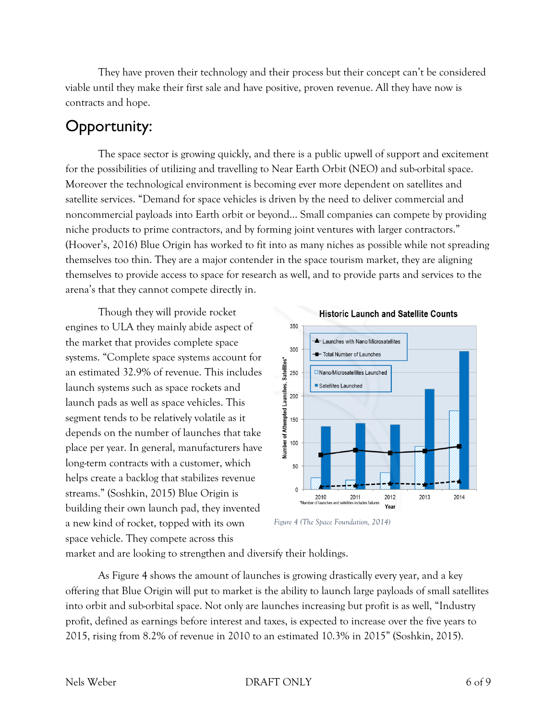They have proven their technology and their process but their concept can't be considered viable until they make their first sale and have positive, proven revenue. All they have now is contracts and hope.

# Opportunity:

The space sector is growing quickly, and there is a public upwell of support and excitement for the possibilities of utilizing and travelling to Near Earth Orbit (NEO) and sub-orbital space. Moreover the technological environment is becoming ever more dependent on satellites and satellite services. "Demand for space vehicles is driven by the need to deliver commercial and noncommercial payloads into Earth orbit or beyond… Small companies can compete by providing niche products to prime contractors, and by forming joint ventures with larger contractors." (Hoover's, 2016) Blue Origin has worked to fit into as many niches as possible while not spreading themselves too thin. They are a major contender in the space tourism market, they are aligning themselves to provide access to space for research as well, and to provide parts and services to the arena's that they cannot compete directly in.

Though they will provide rocket engines to ULA they mainly abide aspect of the market that provides complete space systems. "Complete space systems account for an estimated 32.9% of revenue. This includes launch systems such as space rockets and launch pads as well as space vehicles. This segment tends to be relatively volatile as it depends on the number of launches that take place per year. In general, manufacturers have long-term contracts with a customer, which helps create a backlog that stabilizes revenue streams." (Soshkin, 2015) Blue Origin is building their own launch pad, they invented a new kind of rocket, topped with its own space vehicle. They compete across this





market and are looking to strengthen and diversify their holdings.

As Figure 4 shows the amount of launches is growing drastically every year, and a key offering that Blue Origin will put to market is the ability to launch large payloads of small satellites into orbit and sub-orbital space. Not only are launches increasing but profit is as well, "Industry profit, defined as earnings before interest and taxes, is expected to increase over the five years to 2015, rising from 8.2% of revenue in 2010 to an estimated 10.3% in 2015" (Soshkin, 2015).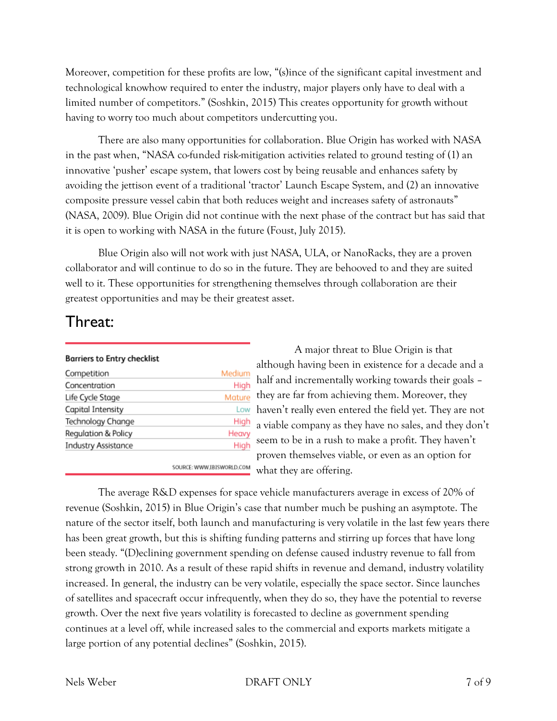Moreover, competition for these profits are low, "(s)ince of the significant capital investment and technological knowhow required to enter the industry, major players only have to deal with a limited number of competitors." (Soshkin, 2015) This creates opportunity for growth without having to worry too much about competitors undercutting you.

There are also many opportunities for collaboration. Blue Origin has worked with NASA in the past when, "NASA co-funded risk-mitigation activities related to ground testing of (1) an innovative 'pusher' escape system, that lowers cost by being reusable and enhances safety by avoiding the jettison event of a traditional 'tractor' Launch Escape System, and (2) an innovative composite pressure vessel cabin that both reduces weight and increases safety of astronauts" (NASA, 2009). Blue Origin did not continue with the next phase of the contract but has said that it is open to working with NASA in the future (Foust, July 2015).

Blue Origin also will not work with just NASA, ULA, or NanoRacks, they are a proven collaborator and will continue to do so in the future. They are behooved to and they are suited well to it. These opportunities for strengthening themselves through collaboration are their greatest opportunities and may be their greatest asset.

### Threat:

| <b>Barriers to Entry checklist</b> |  |  |
|------------------------------------|--|--|
|------------------------------------|--|--|

| Competition                | Medium |
|----------------------------|--------|
| Concentration              | High   |
| Life Cycle Stage           | Mature |
| Capital Intensity          | Low    |
| Technology Change          | High   |
| Regulation & Policy        | Heavy  |
| <b>Industry Assistance</b> | High   |

A major threat to Blue Origin is that although having been in existence for a decade and a half and incrementally working towards their goals – they are far from achieving them. Moreover, they haven't really even entered the field yet. They are not a viable company as they have no sales, and they don't seem to be in a rush to make a profit. They haven't proven themselves viable, or even as an option for what they are offering.

The average R&D expenses for space vehicle manufacturers average in excess of 20% of revenue (Soshkin, 2015) in Blue Origin's case that number much be pushing an asymptote. The nature of the sector itself, both launch and manufacturing is very volatile in the last few years there has been great growth, but this is shifting funding patterns and stirring up forces that have long been steady. "(D)eclining government spending on defense caused industry revenue to fall from strong growth in 2010. As a result of these rapid shifts in revenue and demand, industry volatility increased. In general, the industry can be very volatile, especially the space sector. Since launches of satellites and spacecraft occur infrequently, when they do so, they have the potential to reverse growth. Over the next five years volatility is forecasted to decline as government spending continues at a level off, while increased sales to the commercial and exports markets mitigate a large portion of any potential declines" (Soshkin, 2015).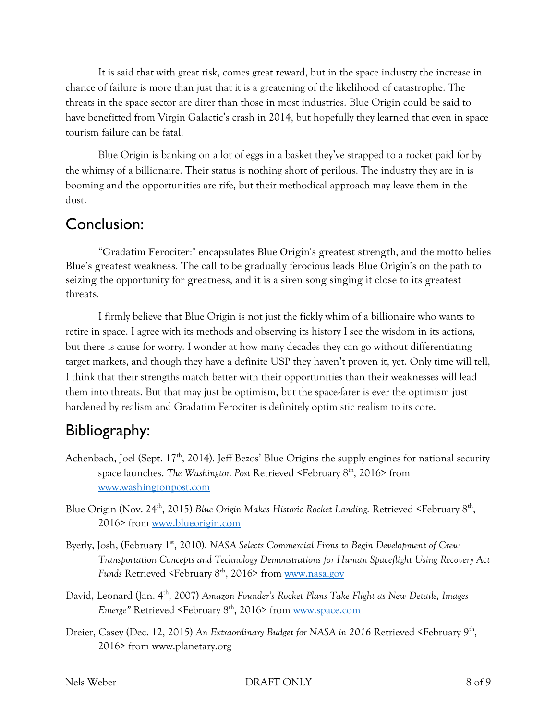It is said that with great risk, comes great reward, but in the space industry the increase in chance of failure is more than just that it is a greatening of the likelihood of catastrophe. The threats in the space sector are direr than those in most industries. Blue Origin could be said to have benefitted from Virgin Galactic's crash in 2014, but hopefully they learned that even in space tourism failure can be fatal.

Blue Origin is banking on a lot of eggs in a basket they've strapped to a rocket paid for by the whimsy of a billionaire. Their status is nothing short of perilous. The industry they are in is booming and the opportunities are rife, but their methodical approach may leave them in the dust.

## Conclusion:

"Gradatim Ferociter:" encapsulates Blue Origin's greatest strength, and the motto belies Blue's greatest weakness. The call to be gradually ferocious leads Blue Origin's on the path to seizing the opportunity for greatness, and it is a siren song singing it close to its greatest threats.

I firmly believe that Blue Origin is not just the fickly whim of a billionaire who wants to retire in space. I agree with its methods and observing its history I see the wisdom in its actions, but there is cause for worry. I wonder at how many decades they can go without differentiating target markets, and though they have a definite USP they haven't proven it, yet. Only time will tell, I think that their strengths match better with their opportunities than their weaknesses will lead them into threats. But that may just be optimism, but the space-farer is ever the optimism just hardened by realism and Gradatim Ferociter is definitely optimistic realism to its core.

# Bibliography:

- Achenbach, Joel (Sept. 17<sup>th</sup>, 2014). Jeff Bezos' Blue Origins the supply engines for national security space launches. *The Washington Post Retrieved* <February 8<sup>th</sup>, 2016> from [www.washingtonpost.com](http://www.washingtonpost.com/)
- Blue Origin (Nov. 24<sup>th</sup>, 2015) *Blue Origin Makes Historic Rocket Landing*. Retrieved <February 8<sup>th</sup>, 2016> from [www.blueorigin.com](http://www.blueorigin.com/)
- Byerly, Josh, (February 1<sup>st</sup>, 2010). *NASA Selects Commercial Firms to Begin Development of Crew Transportation Concepts and Technology Demonstrations for Human Spaceflight Using Recovery Act Funds* Retrieved <February 8<sup>th</sup>, 2016> from [www.nasa.gov](http://www.nasa.gov/)
- David, Leonard (Jan. 4th, 2007) *Amazon Founder's Rocket Plans Take Flight as New Details, Images Emerge*" Retrieved <February 8<sup>th</sup>, 2016> from [www.space.com](http://www.space.com/)
- Dreier, Casey (Dec. 12, 2015) An Extraordinary Budget for NASA in 2016 Retrieved <February 9<sup>th</sup>, 2016> from www.planetary.org